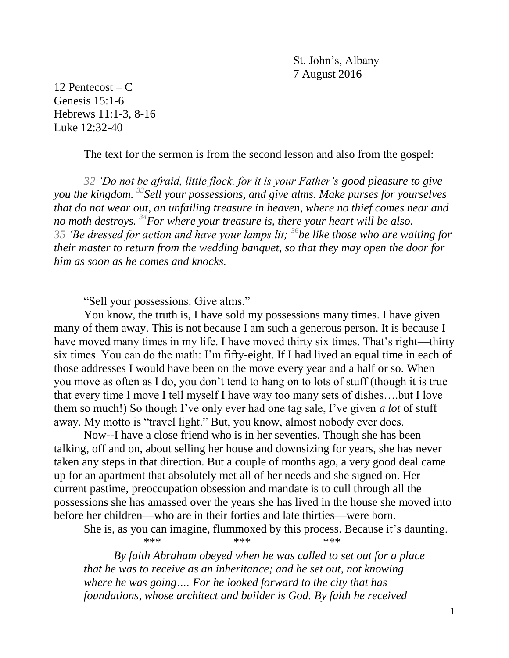St. John's, Albany 7 August 2016

12 Pentecost – C Genesis 15:1-6 Hebrews 11:1-3, 8-16 Luke 12:32-40

The text for the sermon is from the second lesson and also from the gospel:

*32 'Do not be afraid, little flock, for it is your Father's good pleasure to give you the kingdom. <sup>33</sup>Sell your possessions, and give alms. Make purses for yourselves that do not wear out, an unfailing treasure in heaven, where no thief comes near and no moth destroys. <sup>34</sup>For where your treasure is, there your heart will be also. 35 'Be dressed for action and have your lamps lit; <sup>36</sup>be like those who are waiting for their master to return from the wedding banquet, so that they may open the door for him as soon as he comes and knocks.*

"Sell your possessions. Give alms."

You know, the truth is, I have sold my possessions many times. I have given many of them away. This is not because I am such a generous person. It is because I have moved many times in my life. I have moved thirty six times. That's right—thirty six times. You can do the math: I'm fifty-eight. If I had lived an equal time in each of those addresses I would have been on the move every year and a half or so. When you move as often as I do, you don't tend to hang on to lots of stuff (though it is true that every time I move I tell myself I have way too many sets of dishes….but I love them so much!) So though I've only ever had one tag sale, I've given *a lot* of stuff away. My motto is "travel light." But, you know, almost nobody ever does.

Now--I have a close friend who is in her seventies. Though she has been talking, off and on, about selling her house and downsizing for years, she has never taken any steps in that direction. But a couple of months ago, a very good deal came up for an apartment that absolutely met all of her needs and she signed on. Her current pastime, preoccupation obsession and mandate is to cull through all the possessions she has amassed over the years she has lived in the house she moved into before her children—who are in their forties and late thirties—were born.

She is, as you can imagine, flummoxed by this process. Because it's daunting. \*\*\* \*\*\* \*\*\* \*\*\*

*By faith Abraham obeyed when he was called to set out for a place that he was to receive as an inheritance; and he set out, not knowing where he was going…. For he looked forward to the city that has foundations, whose architect and builder is God. By faith he received*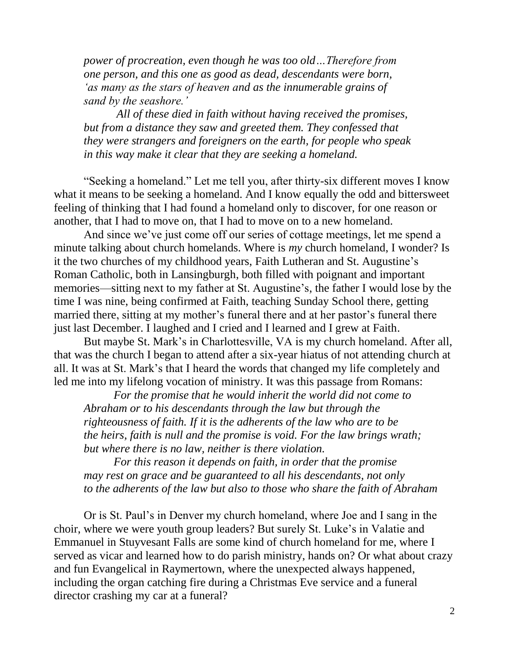*power of procreation, even though he was too old…Therefore from one person, and this one as good as dead, descendants were born, 'as many as the stars of heaven and as the innumerable grains of sand by the seashore.'*

*All of these died in faith without having received the promises, but from a distance they saw and greeted them. They confessed that they were strangers and foreigners on the earth, for people who speak in this way make it clear that they are seeking a homeland.*

"Seeking a homeland." Let me tell you, after thirty-six different moves I know what it means to be seeking a homeland. And I know equally the odd and bittersweet feeling of thinking that I had found a homeland only to discover, for one reason or another, that I had to move on, that I had to move on to a new homeland.

And since we've just come off our series of cottage meetings, let me spend a minute talking about church homelands. Where is *my* church homeland, I wonder? Is it the two churches of my childhood years, Faith Lutheran and St. Augustine's Roman Catholic, both in Lansingburgh, both filled with poignant and important memories—sitting next to my father at St. Augustine's, the father I would lose by the time I was nine, being confirmed at Faith, teaching Sunday School there, getting married there, sitting at my mother's funeral there and at her pastor's funeral there just last December. I laughed and I cried and I learned and I grew at Faith.

But maybe St. Mark's in Charlottesville, VA is my church homeland. After all, that was the church I began to attend after a six-year hiatus of not attending church at all. It was at St. Mark's that I heard the words that changed my life completely and led me into my lifelong vocation of ministry. It was this passage from Romans:

*For the promise that he would inherit the world did not come to Abraham or to his descendants through the law but through the righteousness of faith. If it is the adherents of the law who are to be the heirs, faith is null and the promise is void. For the law brings wrath; but where there is no law, neither is there violation.*

*For this reason it depends on faith, in order that the promise may rest on grace and be guaranteed to all his descendants, not only to the adherents of the law but also to those who share the faith of Abraham*

Or is St. Paul's in Denver my church homeland, where Joe and I sang in the choir, where we were youth group leaders? But surely St. Luke's in Valatie and Emmanuel in Stuyvesant Falls are some kind of church homeland for me, where I served as vicar and learned how to do parish ministry, hands on? Or what about crazy and fun Evangelical in Raymertown, where the unexpected always happened, including the organ catching fire during a Christmas Eve service and a funeral director crashing my car at a funeral?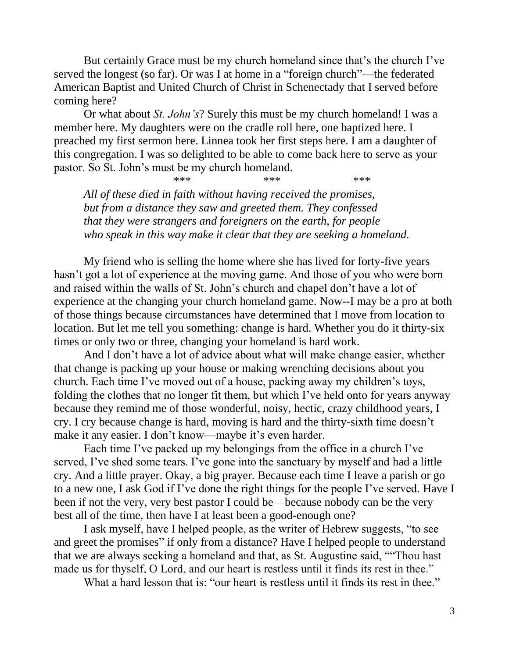But certainly Grace must be my church homeland since that's the church I've served the longest (so far). Or was I at home in a "foreign church"—the federated American Baptist and United Church of Christ in Schenectady that I served before coming here?

Or what about *St. John's*? Surely this must be my church homeland! I was a member here. My daughters were on the cradle roll here, one baptized here. I preached my first sermon here. Linnea took her first steps here. I am a daughter of this congregation. I was so delighted to be able to come back here to serve as your pastor. So St. John's must be my church homeland.

\*\*\* \*\*\* \*\*\* \*\*\* *All of these died in faith without having received the promises, but from a distance they saw and greeted them. They confessed that they were strangers and foreigners on the earth, for people who speak in this way make it clear that they are seeking a homeland.*

My friend who is selling the home where she has lived for forty-five years hasn't got a lot of experience at the moving game. And those of you who were born and raised within the walls of St. John's church and chapel don't have a lot of experience at the changing your church homeland game. Now--I may be a pro at both of those things because circumstances have determined that I move from location to location. But let me tell you something: change is hard. Whether you do it thirty-six times or only two or three, changing your homeland is hard work.

And I don't have a lot of advice about what will make change easier, whether that change is packing up your house or making wrenching decisions about you church. Each time I've moved out of a house, packing away my children's toys, folding the clothes that no longer fit them, but which I've held onto for years anyway because they remind me of those wonderful, noisy, hectic, crazy childhood years, I cry. I cry because change is hard, moving is hard and the thirty-sixth time doesn't make it any easier. I don't know—maybe it's even harder.

Each time I've packed up my belongings from the office in a church I've served, I've shed some tears. I've gone into the sanctuary by myself and had a little cry. And a little prayer. Okay, a big prayer. Because each time I leave a parish or go to a new one, I ask God if I've done the right things for the people I've served. Have I been if not the very, very best pastor I could be—because nobody can be the very best all of the time, then have I at least been a good-enough one?

I ask myself, have I helped people, as the writer of Hebrew suggests, "to see and greet the promises" if only from a distance? Have I helped people to understand that we are always seeking a homeland and that, as St. Augustine said, ""Thou hast made us for thyself, O Lord, and our heart is restless until it finds its rest in thee."

What a hard lesson that is: "our heart is restless until it finds its rest in thee."